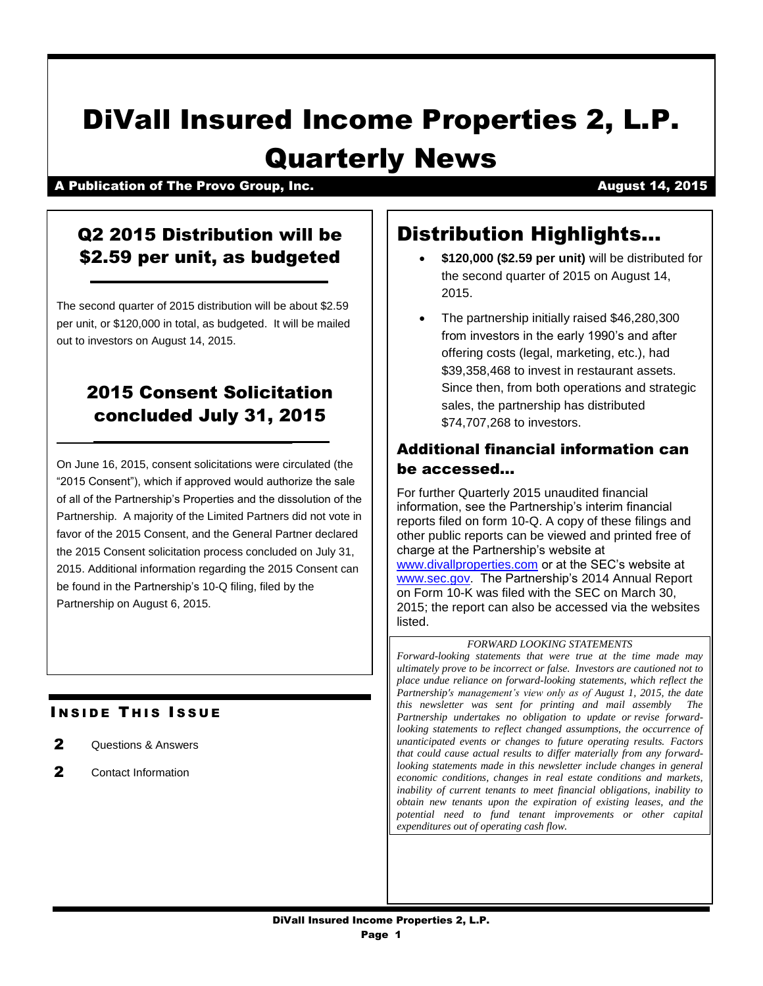# DiVall Insured Income Properties 2, L.P. Quarterly News

A Publication of The Provo Group, Inc. And August 14, 2015

# Q2 2015 Distribution will be \$2.59 per unit, as budgeted

The second quarter of 2015 distribution will be about \$2.59 per unit, or \$120,000 in total, as budgeted. It will be mailed out to investors on August 14, 2015.

# 2015 Consent Solicitation concluded July 31, 2015

On June 16, 2015, consent solicitations were circulated (the "2015 Consent"), which if approved would authorize the sale of all of the Partnership's Properties and the dissolution of the Partnership. A majority of the Limited Partners did not vote in favor of the 2015 Consent, and the General Partner declared the 2015 Consent solicitation process concluded on July 31, 2015. Additional information regarding the 2015 Consent can be found in the Partnership's 10-Q filing, filed by the Partnership on August 6, 2015.

# **INSIDE THIS ISSUE**

- 2 Questions & Answers
- 2 Contact Information

# Distribution Highlights…

- **\$120,000 (\$2.59 per unit)** will be distributed for the second quarter of 2015 on August 14, 2015.
- The partnership initially raised \$46,280,300 from investors in the early 1990's and after offering costs (legal, marketing, etc.), had \$39,358,468 to invest in restaurant assets. Since then, from both operations and strategic sales, the partnership has distributed \$74,707,268 to investors.

## Additional financial information can be accessed…

For further Quarterly 2015 unaudited financial information, see the Partnership's interim financial reports filed on form 10-Q. A copy of these filings and other public reports can be viewed and printed free of charge at the Partnership's website at [www.divallproperties.com](http://www.divallproperties.com/) or at the SEC's website at [www.sec.gov.](http://www.sec.gov/) The Partnership's 2014 Annual Report on Form 10-K was filed with the SEC on March 30, 2015; the report can also be accessed via the websites listed.

### *FORWARD LOOKING STATEMENTS*

*Forward-looking statements that were true at the time made may ultimately prove to be incorrect or false. Investors are cautioned not to place undue reliance on forward-looking statements, which reflect the Partnership's management's view only as of August 1, 2015, the date this newsletter was sent for printing and mail assembly The Partnership undertakes no obligation to update or revise forwardlooking statements to reflect changed assumptions, the occurrence of unanticipated events or changes to future operating results. Factors that could cause actual results to differ materially from any forwardlooking statements made in this newsletter include changes in general economic conditions, changes in real estate conditions and markets, inability of current tenants to meet financial obligations, inability to obtain new tenants upon the expiration of existing leases, and the potential need to fund tenant improvements or other capital expenditures out of operating cash flow.*